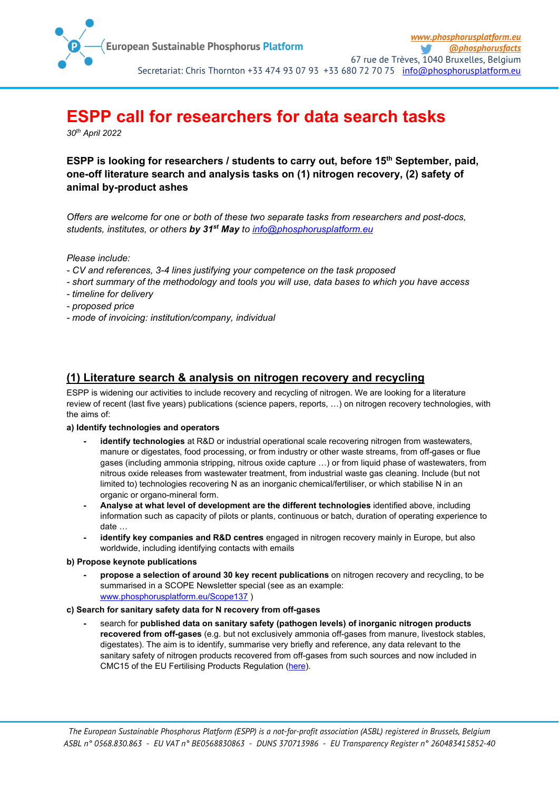

# **ESPP call for researchers for data search tasks**

*30th April 2022*

### **ESPP** is looking for researchers / students to carry out, before 15<sup>th</sup> September, paid, **one-off literature search and analysis tasks on (1) nitrogen recovery, (2) safety of animal by-product ashes**

*Offers are welcome for one or both of these two separate tasks from researchers and post-docs, students, institutes, or others by 31st May to [info@phosphorusplatform.eu](mailto:info@phosphorusplatform.eu)*

*Please include:* 

- *- CV and references, 3-4 lines justifying your competence on the task proposed*
- *- short summary of the methodology and tools you will use, data bases to which you have access*
- *- timeline for delivery*
- *- proposed price*
- *- mode of invoicing: institution/company, individual*

## **(1) Literature search & analysis on nitrogen recovery and recycling**

ESPP is widening our activities to include recovery and recycling of nitrogen. We are looking for a literature review of recent (last five years) publications (science papers, reports, …) on nitrogen recovery technologies, with the aims of:

#### **a) Identify technologies and operators**

- **- identify technologies** at R&D or industrial operational scale recovering nitrogen from wastewaters, manure or digestates, food processing, or from industry or other waste streams, from off-gases or flue gases (including ammonia stripping, nitrous oxide capture …) or from liquid phase of wastewaters, from nitrous oxide releases from wastewater treatment, from industrial waste gas cleaning. Include (but not limited to) technologies recovering N as an inorganic chemical/fertiliser, or which stabilise N in an organic or organo-mineral form.
- **- Analyse at what level of development are the different technologies** identified above, including information such as capacity of pilots or plants, continuous or batch, duration of operating experience to date …
- **- identify key companies and R&D centres** engaged in nitrogen recovery mainly in Europe, but also worldwide, including identifying contacts with emails

#### **b) Propose keynote publications**

**- propose a selection of around 30 key recent publications** on nitrogen recovery and recycling, to be summarised in a SCOPE Newsletter special (see as an example: [www.phosphorusplatform.eu/Scope137](http://www.phosphorusplatform.eu/Scope137) )

#### **c) Search for sanitary safety data for N recovery from off-gases**

**-** search for **published data on sanitary safety (pathogen levels) of inorganic nitrogen products recovered from off-gases** (e.g. but not exclusively ammonia off-gases from manure, livestock stables, digestates). The aim is to identify, summarise very briefly and reference, any data relevant to the sanitary safety of nitrogen products recovered from off-gases from such sources and now included in CMC15 of the EU Fertilising Products Regulation [\(here\)](https://ec.europa.eu/info/law/better-regulation/have-your-say/initiatives/13113-Fertilisers-high-purity-materials-in-EU-fertilising-products_en).